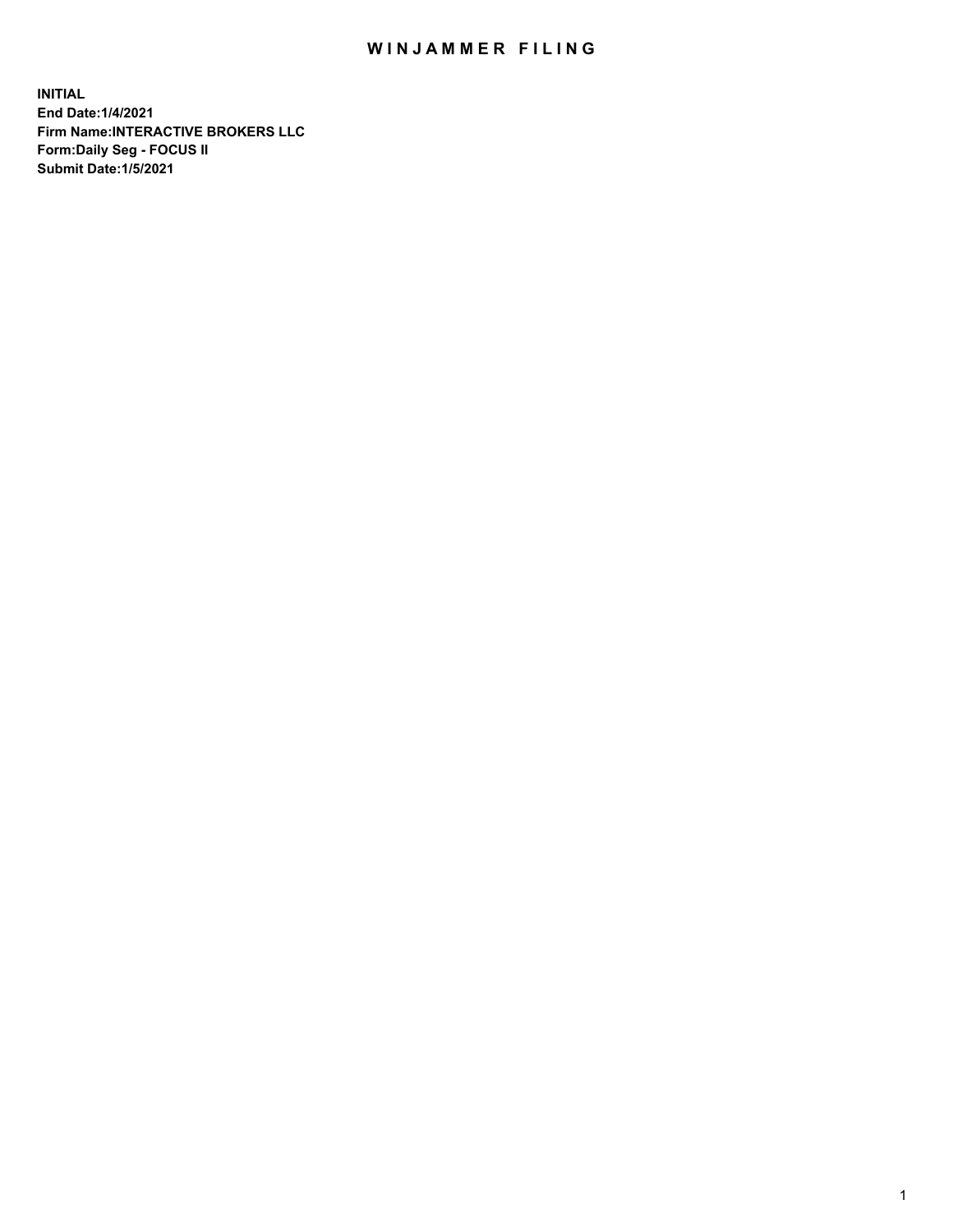## WIN JAMMER FILING

**INITIAL End Date:1/4/2021 Firm Name:INTERACTIVE BROKERS LLC Form:Daily Seg - FOCUS II Submit Date:1/5/2021**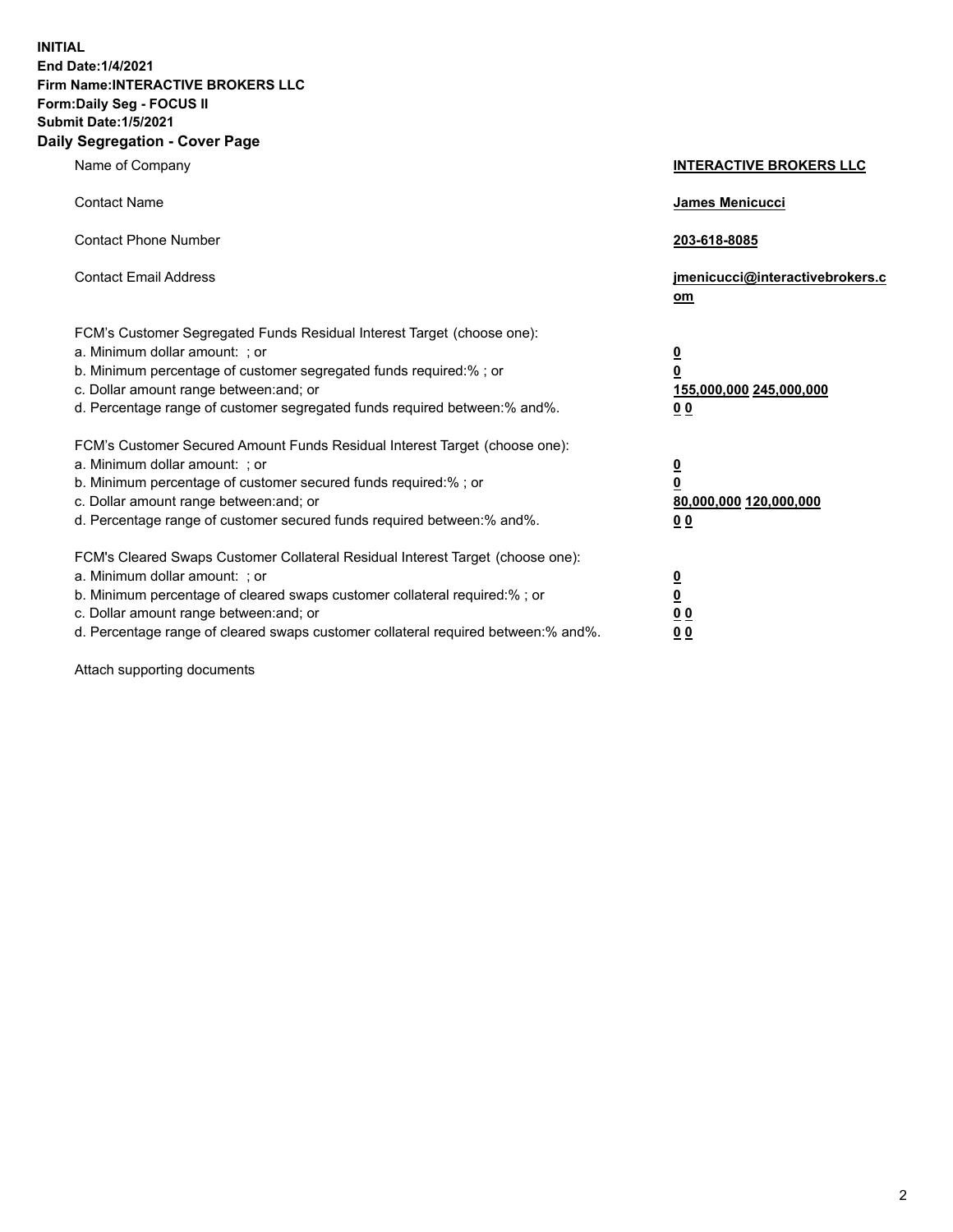**INITIAL End Date:1/4/2021 Firm Name:INTERACTIVE BROKERS LLC Form:Daily Seg - FOCUS II Submit Date:1/5/2021 Daily Segregation - Cover Page**

| Name of Company                                                                                                                                                                                                                                                                                                                | <b>INTERACTIVE BROKERS LLC</b>                                                                  |
|--------------------------------------------------------------------------------------------------------------------------------------------------------------------------------------------------------------------------------------------------------------------------------------------------------------------------------|-------------------------------------------------------------------------------------------------|
| <b>Contact Name</b>                                                                                                                                                                                                                                                                                                            | James Menicucci                                                                                 |
| <b>Contact Phone Number</b>                                                                                                                                                                                                                                                                                                    | 203-618-8085                                                                                    |
| <b>Contact Email Address</b>                                                                                                                                                                                                                                                                                                   | jmenicucci@interactivebrokers.c<br>om                                                           |
| FCM's Customer Segregated Funds Residual Interest Target (choose one):<br>a. Minimum dollar amount: ; or<br>b. Minimum percentage of customer segregated funds required:%; or<br>c. Dollar amount range between: and; or<br>d. Percentage range of customer segregated funds required between:% and%.                          | $\overline{\mathbf{0}}$<br>$\overline{\mathbf{0}}$<br>155,000,000 245,000,000<br>0 <sub>0</sub> |
| FCM's Customer Secured Amount Funds Residual Interest Target (choose one):<br>a. Minimum dollar amount: ; or<br>b. Minimum percentage of customer secured funds required:% ; or<br>c. Dollar amount range between: and; or<br>d. Percentage range of customer secured funds required between:% and%.                           | $\frac{0}{0}$<br>80,000,000 120,000,000<br>0 <sub>0</sub>                                       |
| FCM's Cleared Swaps Customer Collateral Residual Interest Target (choose one):<br>a. Minimum dollar amount: ; or<br>b. Minimum percentage of cleared swaps customer collateral required:% ; or<br>c. Dollar amount range between: and; or<br>d. Percentage range of cleared swaps customer collateral required between:% and%. | $\frac{0}{0}$<br>0 <sub>0</sub><br>0 <sub>0</sub>                                               |

Attach supporting documents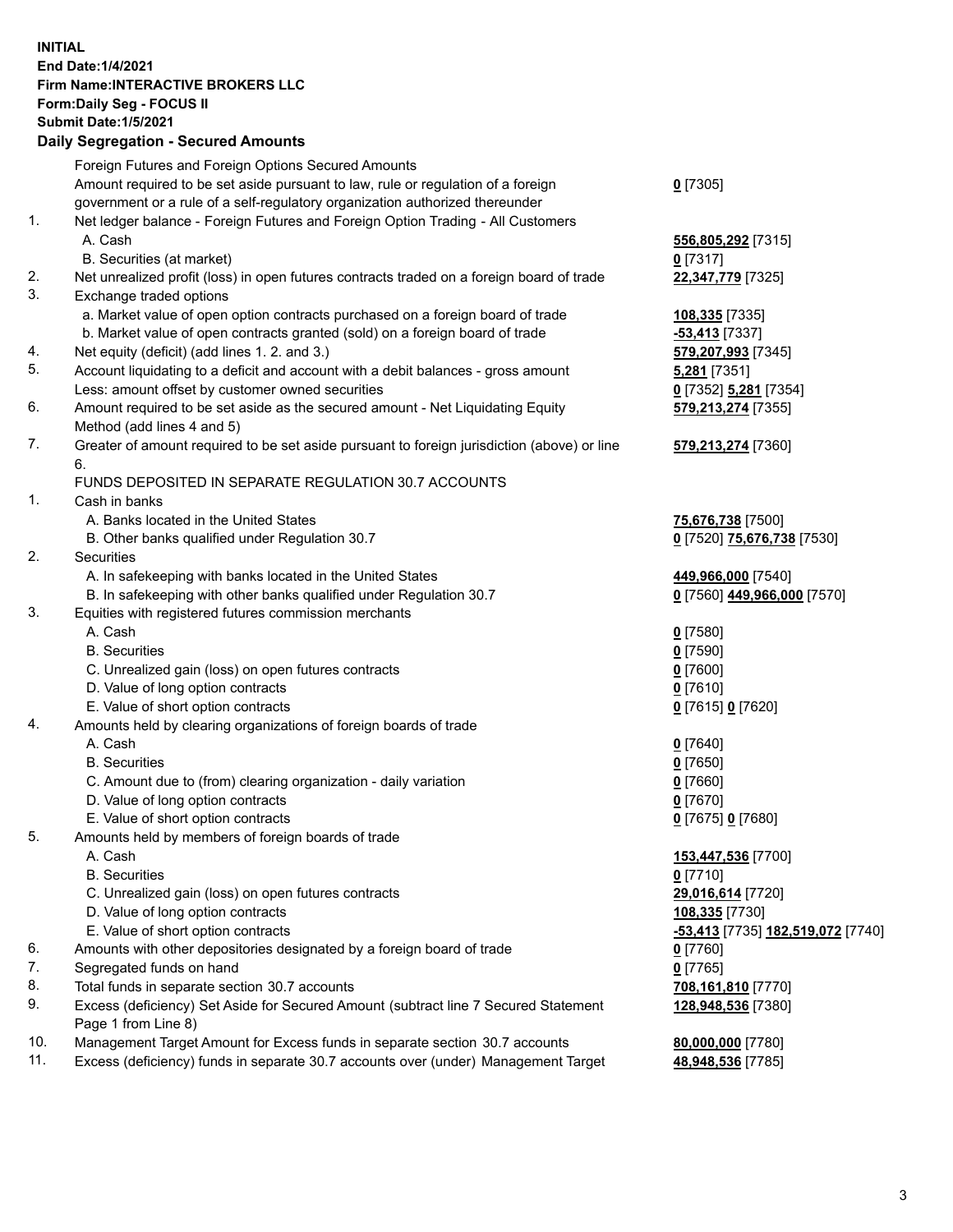**INITIAL End Date:1/4/2021 Firm Name:INTERACTIVE BROKERS LLC Form:Daily Seg - FOCUS II Submit Date:1/5/2021 Daily Segregation - Secured Amounts**

|                | Dany Ocgregation - Oceanea Anioante                                                         |                                                |
|----------------|---------------------------------------------------------------------------------------------|------------------------------------------------|
|                | Foreign Futures and Foreign Options Secured Amounts                                         |                                                |
|                | Amount required to be set aside pursuant to law, rule or regulation of a foreign            | $0$ [7305]                                     |
|                | government or a rule of a self-regulatory organization authorized thereunder                |                                                |
| $\mathbf{1}$ . | Net ledger balance - Foreign Futures and Foreign Option Trading - All Customers             |                                                |
|                | A. Cash                                                                                     | 556,805,292 [7315]                             |
|                | B. Securities (at market)                                                                   | $0$ [7317]                                     |
| 2.             | Net unrealized profit (loss) in open futures contracts traded on a foreign board of trade   | 22,347,779 [7325]                              |
| 3.             | Exchange traded options                                                                     |                                                |
|                | a. Market value of open option contracts purchased on a foreign board of trade              | 108,335 [7335]                                 |
|                | b. Market value of open contracts granted (sold) on a foreign board of trade                | -53,413 [7337]                                 |
| 4.             | Net equity (deficit) (add lines 1. 2. and 3.)                                               | 579,207,993 [7345]                             |
| 5.             | Account liquidating to a deficit and account with a debit balances - gross amount           | 5,281 [7351]                                   |
|                | Less: amount offset by customer owned securities                                            | 0 [7352] 5,281 [7354]                          |
| 6.             | Amount required to be set aside as the secured amount - Net Liquidating Equity              | 579,213,274 [7355]                             |
|                | Method (add lines 4 and 5)                                                                  |                                                |
| 7.             | Greater of amount required to be set aside pursuant to foreign jurisdiction (above) or line | 579,213,274 [7360]                             |
|                | 6.                                                                                          |                                                |
|                | FUNDS DEPOSITED IN SEPARATE REGULATION 30.7 ACCOUNTS                                        |                                                |
| $\mathbf{1}$ . | Cash in banks                                                                               |                                                |
|                | A. Banks located in the United States                                                       | 75,676,738 [7500]                              |
|                | B. Other banks qualified under Regulation 30.7                                              | 0 [7520] 75,676,738 [7530]                     |
| 2.             | <b>Securities</b>                                                                           |                                                |
|                | A. In safekeeping with banks located in the United States                                   | 449,966,000 [7540]                             |
|                | B. In safekeeping with other banks qualified under Regulation 30.7                          | 0 [7560] 449,966,000 [7570]                    |
| 3.             | Equities with registered futures commission merchants                                       |                                                |
|                | A. Cash                                                                                     | $Q$ [7580]                                     |
|                | <b>B.</b> Securities                                                                        | $0$ [7590]                                     |
|                | C. Unrealized gain (loss) on open futures contracts                                         | $0$ [7600]                                     |
|                | D. Value of long option contracts                                                           | $0$ [7610]                                     |
|                | E. Value of short option contracts                                                          | 0 [7615] 0 [7620]                              |
| 4.             | Amounts held by clearing organizations of foreign boards of trade                           |                                                |
|                | A. Cash                                                                                     | $Q$ [7640]                                     |
|                | <b>B.</b> Securities                                                                        | $0$ [7650]                                     |
|                | C. Amount due to (from) clearing organization - daily variation                             | $0$ [7660]                                     |
|                | D. Value of long option contracts                                                           | $0$ [7670]                                     |
|                | E. Value of short option contracts                                                          | 0 [7675] 0 [7680]                              |
| 5.             | Amounts held by members of foreign boards of trade                                          |                                                |
|                | A. Cash                                                                                     | 153,447,536 [7700]                             |
|                | <b>B.</b> Securities                                                                        | $0$ [7710]                                     |
|                | C. Unrealized gain (loss) on open futures contracts                                         | 29,016,614 [7720]                              |
|                | D. Value of long option contracts                                                           | 108,335 [7730]                                 |
|                | E. Value of short option contracts                                                          | <mark>-53,413</mark> [7735] 182,519,072 [7740] |
| 6.             | Amounts with other depositories designated by a foreign board of trade                      | $0$ [7760]                                     |
| 7.             | Segregated funds on hand                                                                    | $0$ [7765]                                     |
| 8.             | Total funds in separate section 30.7 accounts                                               | 708,161,810 [7770]                             |
| 9.             | Excess (deficiency) Set Aside for Secured Amount (subtract line 7 Secured Statement         | 128,948,536 [7380]                             |
|                | Page 1 from Line 8)                                                                         |                                                |
| 10.            | Management Target Amount for Excess funds in separate section 30.7 accounts                 | 80,000,000 [7780]                              |
| 11.            | Excess (deficiency) funds in separate 30.7 accounts over (under) Management Target          | 48,948,536 [7785]                              |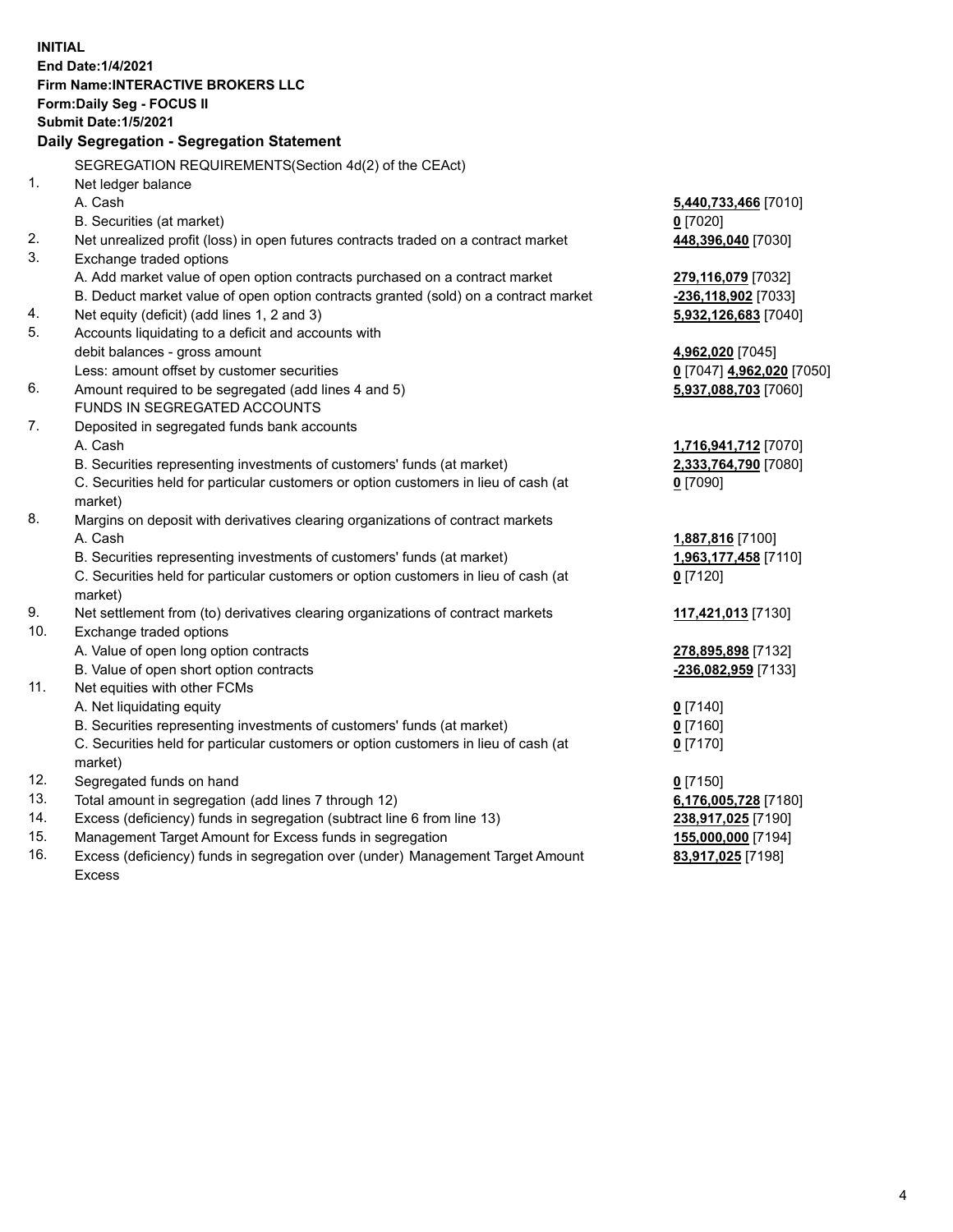**INITIAL End Date:1/4/2021 Firm Name:INTERACTIVE BROKERS LLC Form:Daily Seg - FOCUS II Submit Date:1/5/2021 Daily Segregation - Segregation Statement** SEGREGATION REQUIREMENTS(Section 4d(2) of the CEAct) 1. Net ledger balance A. Cash **5,440,733,466** [7010] B. Securities (at market) **0** [7020] 2. Net unrealized profit (loss) in open futures contracts traded on a contract market **448,396,040** [7030] 3. Exchange traded options A. Add market value of open option contracts purchased on a contract market **279,116,079** [7032] B. Deduct market value of open option contracts granted (sold) on a contract market **-236,118,902** [7033] 4. Net equity (deficit) (add lines 1, 2 and 3) **5,932,126,683** [7040] 5. Accounts liquidating to a deficit and accounts with debit balances - gross amount **4,962,020** [7045] Less: amount offset by customer securities **0** [7047] **4,962,020** [7050] 6. Amount required to be segregated (add lines 4 and 5) **5,937,088,703** [7060] FUNDS IN SEGREGATED ACCOUNTS 7. Deposited in segregated funds bank accounts A. Cash **1,716,941,712** [7070] B. Securities representing investments of customers' funds (at market) **2,333,764,790** [7080] C. Securities held for particular customers or option customers in lieu of cash (at market) **0** [7090] 8. Margins on deposit with derivatives clearing organizations of contract markets A. Cash **1,887,816** [7100] B. Securities representing investments of customers' funds (at market) **1,963,177,458** [7110] C. Securities held for particular customers or option customers in lieu of cash (at market) **0** [7120] 9. Net settlement from (to) derivatives clearing organizations of contract markets **117,421,013** [7130] 10. Exchange traded options A. Value of open long option contracts **278,895,898** [7132] B. Value of open short option contracts **-236,082,959** [7133] 11. Net equities with other FCMs A. Net liquidating equity **0** [7140] B. Securities representing investments of customers' funds (at market) **0** [7160] C. Securities held for particular customers or option customers in lieu of cash (at market) **0** [7170] 12. Segregated funds on hand **0** [7150] 13. Total amount in segregation (add lines 7 through 12) **6,176,005,728** [7180] 14. Excess (deficiency) funds in segregation (subtract line 6 from line 13) **238,917,025** [7190] 15. Management Target Amount for Excess funds in segregation **155,000,000** [7194] **83,917,025** [7198]

16. Excess (deficiency) funds in segregation over (under) Management Target Amount Excess